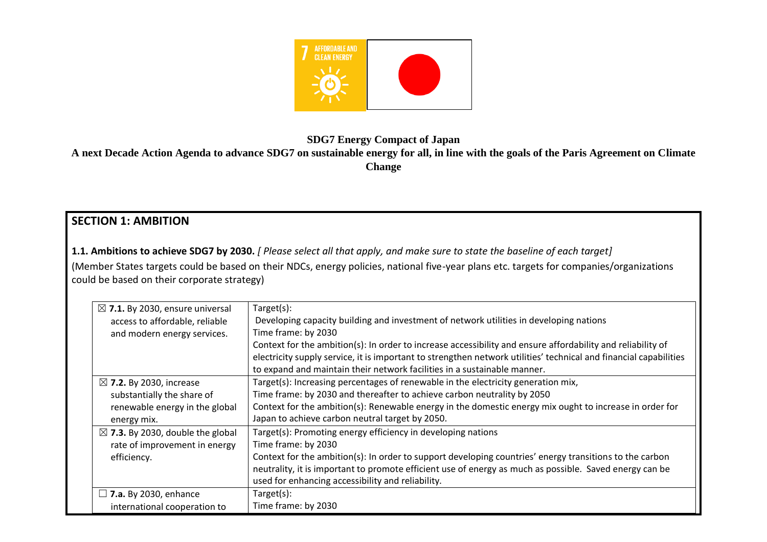

**SDG7 Energy Compact of Japan**

**A next Decade Action Agenda to advance SDG7 on sustainable energy for all, in line with the goals of the Paris Agreement on Climate Change**

# **SECTION 1: AMBITION**

**1.1. Ambitions to achieve SDG7 by 2030.** *[ Please select all that apply, and make sure to state the baseline of each target]*  (Member States targets could be based on their NDCs, energy policies, national five-year plans etc. targets for companies/organizations could be based on their corporate strategy)

| $\boxtimes$ 7.1. By 2030, ensure universal  | Target(s):                                                                                                        |
|---------------------------------------------|-------------------------------------------------------------------------------------------------------------------|
| access to affordable, reliable              | Developing capacity building and investment of network utilities in developing nations                            |
| and modern energy services.                 | Time frame: by 2030                                                                                               |
|                                             | Context for the ambition(s): In order to increase accessibility and ensure affordability and reliability of       |
|                                             | electricity supply service, it is important to strengthen network utilities' technical and financial capabilities |
|                                             | to expand and maintain their network facilities in a sustainable manner.                                          |
| $\boxtimes$ 7.2. By 2030, increase          | Target(s): Increasing percentages of renewable in the electricity generation mix,                                 |
| substantially the share of                  | Time frame: by 2030 and thereafter to achieve carbon neutrality by 2050                                           |
| renewable energy in the global              | Context for the ambition(s): Renewable energy in the domestic energy mix ought to increase in order for           |
| energy mix.                                 | Japan to achieve carbon neutral target by 2050.                                                                   |
| $\boxtimes$ 7.3. By 2030, double the global | Target(s): Promoting energy efficiency in developing nations                                                      |
| rate of improvement in energy               | Time frame: by 2030                                                                                               |
| efficiency.                                 | Context for the ambition(s): In order to support developing countries' energy transitions to the carbon           |
|                                             | neutrality, it is important to promote efficient use of energy as much as possible. Saved energy can be           |
|                                             | used for enhancing accessibility and reliability.                                                                 |
| $\Box$ 7.a. By 2030, enhance                | Target(s):                                                                                                        |
| international cooperation to                | Time frame: by 2030                                                                                               |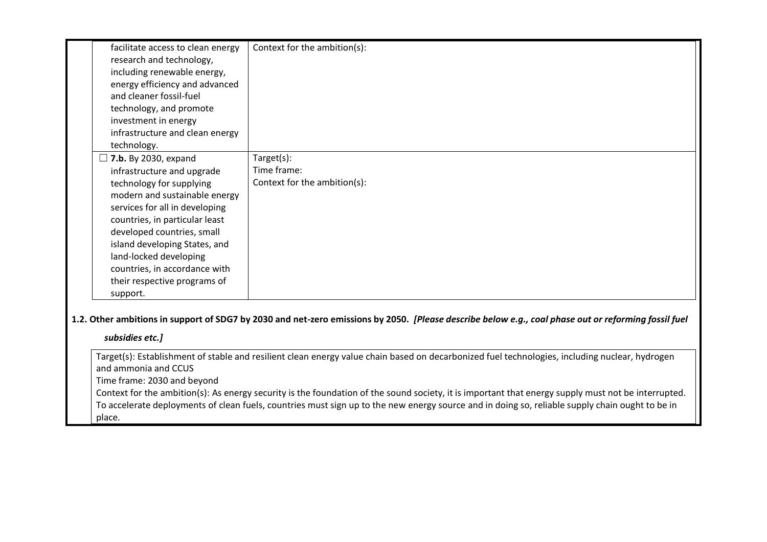| facilitate access to clean energy<br>research and technology,<br>including renewable energy,<br>energy efficiency and advanced<br>and cleaner fossil-fuel<br>technology, and promote<br>investment in energy<br>infrastructure and clean energy                                                                                                                                 | Context for the ambition(s):                              |
|---------------------------------------------------------------------------------------------------------------------------------------------------------------------------------------------------------------------------------------------------------------------------------------------------------------------------------------------------------------------------------|-----------------------------------------------------------|
| technology.<br>$\Box$ 7.b. By 2030, expand<br>infrastructure and upgrade<br>technology for supplying<br>modern and sustainable energy<br>services for all in developing<br>countries, in particular least<br>developed countries, small<br>island developing States, and<br>land-locked developing<br>countries, in accordance with<br>their respective programs of<br>support. | Target(s):<br>Time frame:<br>Context for the ambition(s): |

**1.2. Other ambitions in support of SDG7 by 2030 and net-zero emissions by 2050.** *[Please describe below e.g., coal phase out or reforming fossil fuel* 

#### *subsidies etc.]*

Target(s): Establishment of stable and resilient clean energy value chain based on decarbonized fuel technologies, including nuclear, hydrogen and ammonia and CCUS

Time frame: 2030 and beyond

Context for the ambition(s): As energy security is the foundation of the sound society, it is important that energy supply must not be interrupted. To accelerate deployments of clean fuels, countries must sign up to the new energy source and in doing so, reliable supply chain ought to be in place.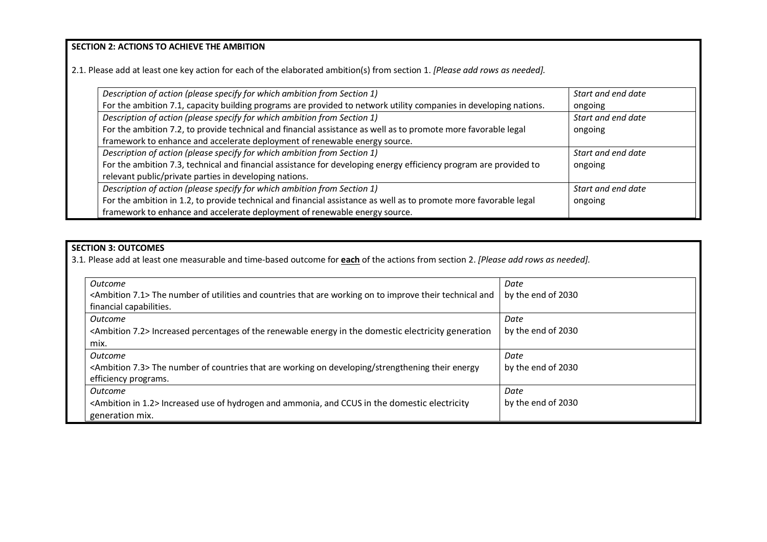**SECTION 2: ACTIONS TO ACHIEVE THE AMBITION** 

2.1. Please add at least one key action for each of the elaborated ambition(s) from section 1. *[Please add rows as needed].*

| Description of action (please specify for which ambition from Section 1)                                          | Start and end date |
|-------------------------------------------------------------------------------------------------------------------|--------------------|
| For the ambition 7.1, capacity building programs are provided to network utility companies in developing nations. | ongoing            |
| Description of action (please specify for which ambition from Section 1)                                          | Start and end date |
| For the ambition 7.2, to provide technical and financial assistance as well as to promote more favorable legal    | ongoing            |
| framework to enhance and accelerate deployment of renewable energy source.                                        |                    |
| Description of action (please specify for which ambition from Section 1)                                          | Start and end date |
| For the ambition 7.3, technical and financial assistance for developing energy efficiency program are provided to | ongoing            |
| relevant public/private parties in developing nations.                                                            |                    |
| Description of action (please specify for which ambition from Section 1)                                          | Start and end date |
| For the ambition in 1.2, to provide technical and financial assistance as well as to promote more favorable legal | ongoing            |
| framework to enhance and accelerate deployment of renewable energy source.                                        |                    |

### **SECTION 3: OUTCOMES**

3.1*.* Please add at least one measurable and time-based outcome for **each** of the actions from section 2. *[Please add rows as needed].*

| Outcome                                                                                                               | Date               |
|-----------------------------------------------------------------------------------------------------------------------|--------------------|
| <ambition 7.1=""> The number of utilities and countries that are working on to improve their technical and</ambition> | by the end of 2030 |
| financial capabilities.                                                                                               |                    |
| Outcome                                                                                                               | Date               |
| <ambition 7.2=""> Increased percentages of the renewable energy in the domestic electricity generation</ambition>     | by the end of 2030 |
| mix.                                                                                                                  |                    |
| <b>Outcome</b>                                                                                                        | Date               |
| <ambition 7.3=""> The number of countries that are working on developing/strengthening their energy</ambition>        | by the end of 2030 |
| efficiency programs.                                                                                                  |                    |
| <b>Outcome</b>                                                                                                        | Date               |
| <ambition 1.2="" in=""> Increased use of hydrogen and ammonia, and CCUS in the domestic electricity</ambition>        | by the end of 2030 |
| generation mix.                                                                                                       |                    |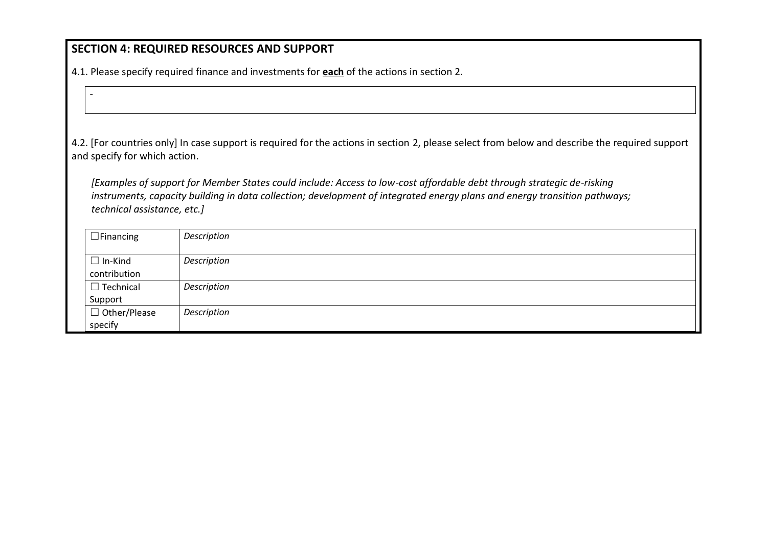# **SECTION 4: REQUIRED RESOURCES AND SUPPORT**

-

4.1. Please specify required finance and investments for **each** of the actions in section 2.

4.2. [For countries only] In case support is required for the actions in section 2, please select from below and describe the required support and specify for which action.

*[Examples of support for Member States could include: Access to low-cost affordable debt through strategic de-risking instruments, capacity building in data collection; development of integrated energy plans and energy transition pathways; technical assistance, etc.]*

| $\Box$ Financing               | Description |
|--------------------------------|-------------|
| $\Box$ In-Kind<br>contribution | Description |
| $\Box$ Technical<br>Support    | Description |
| $\Box$ Other/Please<br>specify | Description |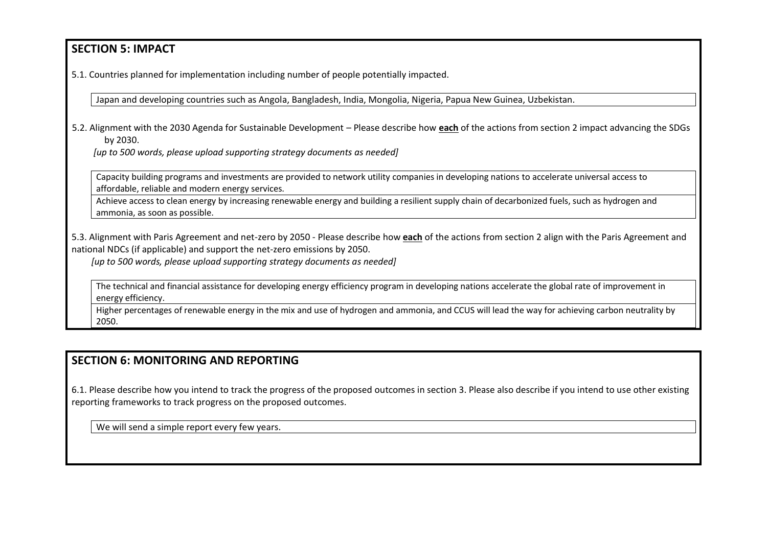## **SECTION 5: IMPACT**

5.1. Countries planned for implementation including number of people potentially impacted.

Japan and developing countries such as Angola, Bangladesh, India, Mongolia, Nigeria, Papua New Guinea, Uzbekistan.

5.2. Alignment with the 2030 Agenda for Sustainable Development – Please describe how **each** of the actions from section 2 impact advancing the SDGs by 2030.

*[up to 500 words, please upload supporting strategy documents as needed]* 

Capacity building programs and investments are provided to network utility companies in developing nations to accelerate universal access to affordable, reliable and modern energy services.

Achieve access to clean energy by increasing renewable energy and building a resilient supply chain of decarbonized fuels, such as hydrogen and ammonia, as soon as possible.

5.3. Alignment with Paris Agreement and net-zero by 2050 - Please describe how **each** of the actions from section 2 align with the Paris Agreement and national NDCs (if applicable) and support the net-zero emissions by 2050.

*[up to 500 words, please upload supporting strategy documents as needed]* 

The technical and financial assistance for developing energy efficiency program in developing nations accelerate the global rate of improvement in energy efficiency.

Higher percentages of renewable energy in the mix and use of hydrogen and ammonia, and CCUS will lead the way for achieving carbon neutrality by 2050.

## **SECTION 6: MONITORING AND REPORTING**

6.1. Please describe how you intend to track the progress of the proposed outcomes in section 3. Please also describe if you intend to use other existing reporting frameworks to track progress on the proposed outcomes.

We will send a simple report every few years.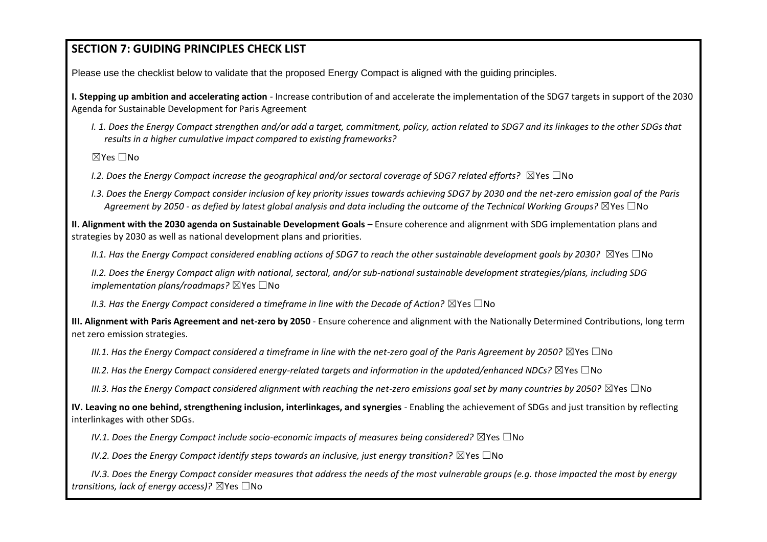# **SECTION 7: GUIDING PRINCIPLES CHECK LIST**

Please use the checklist below to validate that the proposed Energy Compact is aligned with the guiding principles.

**I. Stepping up ambition and accelerating action** - Increase contribution of and accelerate the implementation of the SDG7 targets in support of the 2030 Agenda for Sustainable Development for Paris Agreement

*I. 1. Does the Energy Compact strengthen and/or add a target, commitment, policy, action related to SDG7 and its linkages to the other SDGs that results in a higher cumulative impact compared to existing frameworks?* 

☒Yes ☐No

*I.2. Does the Energy Compact increase the geographical and/or sectoral coverage of SDG7 related efforts?* ⊠Yes □No

*I.3. Does the Energy Compact consider inclusion of key priority issues towards achieving SDG7 by 2030 and the net-zero emission goal of the Paris Agreement by 2050 - as defied by latest global analysis and data including the outcome of the Technical Working Groups?* ☒Yes ☐No

**II. Alignment with the 2030 agenda on Sustainable Development Goals** – Ensure coherence and alignment with SDG implementation plans and strategies by 2030 as well as national development plans and priorities.

*II.1. Has the Energy Compact considered enabling actions of SDG7 to reach the other sustainable development goals by 2030?* ⊠Yes □No

*II.2. Does the Energy Compact align with national, sectoral, and/or sub-national sustainable development strategies/plans, including SDG implementation plans/roadmaps?* ⊠Yes □No

*II.3. Has the Energy Compact considered a timeframe in line with the Decade of Action?* ⊠Yes □No

**III. Alignment with Paris Agreement and net-zero by 2050** - Ensure coherence and alignment with the Nationally Determined Contributions, long term net zero emission strategies.

*III.1. Has the Energy Compact considered a timeframe in line with the net-zero goal of the Paris Agreement by 2050?* ⊠Yes □No

*III.2. Has the Energy Compact considered energy-related targets and information in the updated/enhanced NDCs?* ⊠Yes □No

*III.3. Has the Energy Compact considered alignment with reaching the net-zero emissions goal set by many countries by 2050?* ⊠Yes □No

**IV. Leaving no one behind, strengthening inclusion, interlinkages, and synergies** - Enabling the achievement of SDGs and just transition by reflecting interlinkages with other SDGs.

*IV.1. Does the Energy Compact include socio-economic impacts of measures being considered?* ⊠Yes □No

*IV.2. Does the Energy Compact identify steps towards an inclusive, just energy transition?* ⊠Yes □No

*IV.3. Does the Energy Compact consider measures that address the needs of the most vulnerable groups (e.g. those impacted the most by energy transitions, lack of energy access)?* ☒Yes ☐No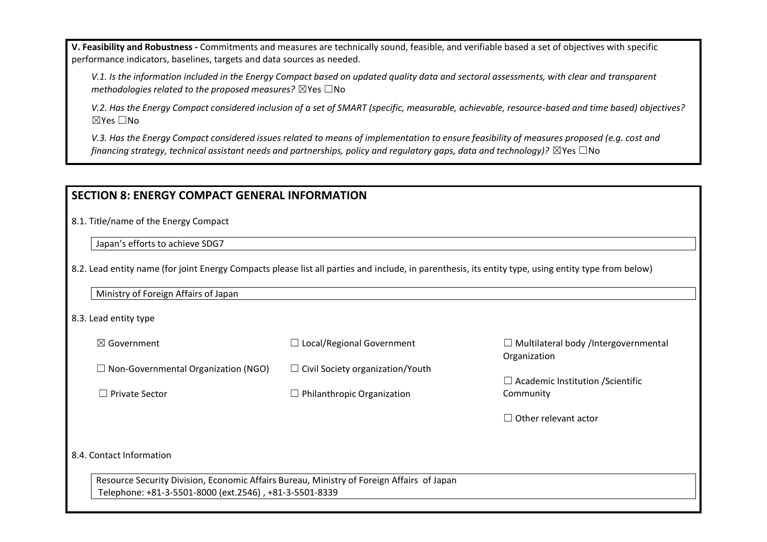**V. Feasibility and Robustness -** Commitments and measures are technically sound, feasible, and verifiable based a set of objectives with specific performance indicators, baselines, targets and data sources as needed.

*V.1. Is the information included in the Energy Compact based on updated quality data and sectoral assessments, with clear and transparent methodologies related to the proposed measures?* ⊠Yes □No

*V.2. Has the Energy Compact considered inclusion of a set of SMART (specific, measurable, achievable, resource-based and time based) objectives?*  ☒Yes ☐No

*V.3. Has the Energy Compact considered issues related to means of implementation to ensure feasibility of measures proposed (e.g. cost and financing strategy, technical assistant needs and partnerships, policy and regulatory gaps, data and technology*)? ⊠Yes □No

## **SECTION 8: ENERGY COMPACT GENERAL INFORMATION**

8.1. Title/name of the Energy Compact

Japan's efforts to achieve SDG7

8.2. Lead entity name (for joint Energy Compacts please list all parties and include, in parenthesis, its entity type, using entity type from below)

#### 8.3. Lead entity type

| $\boxtimes$ Government                                                                                                                              | $\Box$ Local/Regional Government        | $\Box$ Multilateral body /Intergovernmental<br>Organization |  |  |  |
|-----------------------------------------------------------------------------------------------------------------------------------------------------|-----------------------------------------|-------------------------------------------------------------|--|--|--|
| $\Box$ Non-Governmental Organization (NGO)                                                                                                          | $\Box$ Civil Society organization/Youth |                                                             |  |  |  |
| $\Box$ Private Sector                                                                                                                               | $\Box$ Philanthropic Organization       | $\Box$ Academic Institution / Scientific<br>Community       |  |  |  |
|                                                                                                                                                     |                                         | $\Box$ Other relevant actor                                 |  |  |  |
| 8.4. Contact Information                                                                                                                            |                                         |                                                             |  |  |  |
| Resource Security Division, Economic Affairs Bureau, Ministry of Foreign Affairs of Japan<br>Telephone: +81-3-5501-8000 (ext.2546), +81-3-5501-8339 |                                         |                                                             |  |  |  |